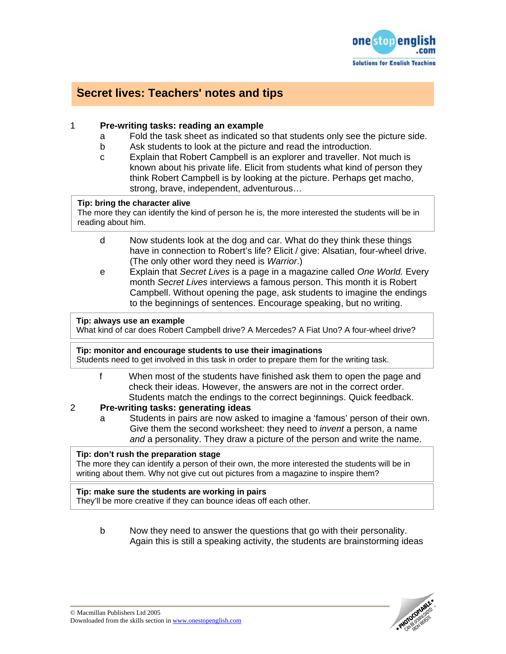

# **Secret lives: Teachers' notes and tips**

# 1 **Pre-writing tasks: reading an example**

- a Fold the task sheet as indicated so that students only see the picture side.
- b Ask students to look at the picture and read the introduction.
- c Explain that Robert Campbell is an explorer and traveller. Not much is known about his private life. Elicit from students what kind of person they think Robert Campbell is by looking at the picture. Perhaps get macho, strong, brave, independent, adventurous…

#### **Tip: bring the character alive**

The more they can identify the kind of person he is, the more interested the students will be in reading about him.

- d Now students look at the dog and car. What do they think these things have in connection to Robert's life? Elicit / give: Alsatian, four-wheel drive. (The only other word they need is *Warrior*.)
- e Explain that *Secret Lives* is a page in a magazine called *One World.* Every month *Secret Lives* interviews a famous person. This month it is Robert Campbell. Without opening the page, ask students to imagine the endings to the beginnings of sentences. Encourage speaking, but no writing.

## **Tip: always use an example**

What kind of car does Robert Campbell drive? A Mercedes? A Fiat Uno? A four-wheel drive?

#### **Tip: monitor and encourage students to use their imaginations**

Students need to get involved in this task in order to prepare them for the writing task.

f When most of the students have finished ask them to open the page and check their ideas. However, the answers are not in the correct order. Students match the endings to the correct beginnings. Quick feedback.

# 2 **Pre-writing tasks: generating ideas**

a Students in pairs are now asked to imagine a 'famous' person of their own. Give them the second worksheet: they need to *invent* a person, a name *and* a personality. They draw a picture of the person and write the name.

## **Tip: don't rush the preparation stage**

The more they can identify a person of their own, the more interested the students will be in writing about them. Why not give cut out pictures from a magazine to inspire them?

## **Tip: make sure the students are working in pairs**

They'll be more creative if they can bounce ideas off each other.

b Now they need to answer the questions that go with their personality. Again this is still a speaking activity, the students are brainstorming ideas